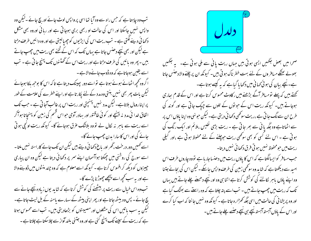تب وہ چاہتا ہے کہ حس راہ سے وہ آیا تھا اسی پر واپس لوٹ جائے اور بچ جائے ۔لیکن وہ واپس نہیں جاسکتا اور اس کی حالت او ربھی بری ہوجاتی ہے اور ربائی اوروہ بھی مشکل دکھا ئی دینے لگتی ہے ۔ تب ریت اس کی ایڑیوں کو چھپالیتی ہے اور وہ دائیں طرف مڑتا ہے لیکن اور بھی نیچے دھنس جاتا ہے یہاں تک کہ اس کے تخنے بھی ریت میں چھپ جاتے ، ییں ۔ بیر وہ بائیں کی طرف مڑتا ہے اور ریت اس کے تھٹنوں تک پہنچ جاتی ہے ۔ تب اسے یقین ہوجاتاہے کہ وہ ڈوب جانے والاہے ۔ اگروہ کھچھ اٹھانے ہوئے ہوتا ہے تو اسے دور پہینک دیتا ہے تا کہ اس کا بوجھ بلکا ہوجائے لیکن بات پھر بھی نہیں بنتی وہ مدد کے لئے پکار تاہے اوراپنے خطرے کی علامت کے طور پر اپنا رومال ہلاتاہے۔ لیکن مدد نہیں پہنچتی اور ریت اس پر غالب آجا تی ہے ۔حب تک اتفاق خدا ئی مدد نه بہنچے اور کوئی طاقتور اور بہادر آدمی حواس قسم کی زمین کو پہنچاتا ہوا گر اسے ریت سے باہر نہ لکال لے تووہ بلاشک عرق ہوجائے گا۔ کیونکہ ریت اونچی ہوتی جائے کی اور اس کا سارا بدن جھپ جائے گا۔ اسے کھمیں دور درخت ،گھر اور باغ دکھائی دیتے ہیں لیکن ان تک جانے کاراستہ نہیں ملتا -اسے سورج کی روشنی میں حجکتا ہواآسمان اپنے سمر پر دکھائی دیتا ہے لیکن وہ ان پیاری حییزوں کو دیکھ کر افسوس کرتا ہے ۔ کیونکہ اسے معلوم ہے کہ وہ ج<sub>ن</sub>ند منٹوں میں ڈو بنے والا ہے اور یہ سب کحچھ اسے بیٹیجھے جھوڑ نا پڑے گا۔ تب وہ اس خیال سے ریت پر بیٹھنے کی کوشش کرتاہے کہ شاید یوں زیادہ نیچے جانے سے بچ جائے - پس وہ بیٹھے جاتا ہے اور بھر اپنی پیٹھ کے سہارے پامنہ کے بل لیٹ جاتا ہے۔ لیکن یہ سب باتیں اس کی مشکلوں اور مصیبیتوں کو بڑھادیتی ہیں۔ تب اسے محسوس ہوتا ہے کہ ریت کے سینے تک پہنچ گئی ہے اور وہ جتنی بلند آواز سے چلاسکتا ہے چلاتا ہے ۔



صحرا میں بعض جگہیں ایسی ہوتی ہیں جہاں ریت یانی سے ملی ہوتی ہے۔ یہ جگہیں بھولے بھٹکے مسافر وں کے لئے بہت خطر ناک ہو تی ہیں۔ کیونکہ ان پر چلنے والا دھنس جاتا ہے۔نیچے بیان کی ہوئی کھانی میں دکھایا گیاہے کہ یہ کیسے ہوتاہے۔ کھتے ہیں کہ پہلے تومسافر آگے بڑھنے میں رکاوٹ محسوس کرتا ہے اور اس کے قدم ہیاری ہوجاتے ہیں۔ کیونکہ ریت اس کے حواتوں کے تلوں سے چپک جاتی ہے اور گوند کی طرح ان سے لگ جا تی ہے ،ریت سوٹھی دکھا ئی دیتی ہے۔ لیکن حونہی وہ اپنا یاؤں اس پر سے اٹھاتاہے وہ جگہ یا ٹی سے بھر جا تی ہے ۔ ریت بڑی نفیس ،ملائم اور ایک رنگ کی ہو تی ہے ۔ اس لئے کسی کو بھی سوٹھی ریت حوچلنے کے لئے محفوظ ہو تی ہے ،اور کیلی ریت میں حومحفوظ نہیں ہو تی فرق دکھا ئی نہیں دیتا۔ حب مسافر کو ایسالگتاہے کہ اس کا یاؤں ریت میں دھنساجار باہے نووہ چاروں طرف اس امید سے دیکھتاہے کہ شاید وہ سوتھی زمین کی طرف واپس جاسکے ۔لیکن اس کی بجائے جتنا وہ اپنے یاؤں باہر لکالنے کی کوشش کرتا ہے اتنا ہی وہ اور نیچے دھسنے چلے جاتے ہیں یہاں تک کہ ریت میں چھپ جاتے ہیں - تب اسے پتہ چلتا ہے کہ وہ راستے سے بھٹک گیاہے اور وہ پریشا ٹی کی حالت میں اسی جگہ تھڑارہ جاتا ہے ۔ کیونکہ وہ نہیں جا نتا کہ اب کیا کرے اور اس کے پاؤں آہستہ آہستہ نیچے ہی نیچے دھنسے چلے جاتے ہیں۔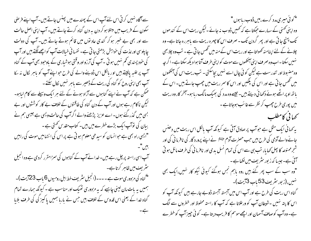سے آگاہ نہیں کر ٹی اس لئے آپ اس کے پھندے میں پھنس جاتے ہیں۔آپ اپنے فرضی سکون کے فریب میں مبتلا ہو کر دن یہ دن گناہ کرتے جاتے ہیں۔ آپ اپنی اصل حالت سے اور بھی بے خبر ہو کر گندی عاد توں میں قائم ہوتے جاتے ہیں۔ آپ کی دولت چاپلوسی اور لذت کی خواہش بڑھتی جا تی ہے۔ نفسا نی خیالات آپ کو ا<u>چھے لگتے</u> ہیں اور آپ کی خود پسندی کم نہیں ہو تی ۔آپ کی آرزواور وقتی ہوشیاری کے باوحود بھی آپ کے گناہ آپ پر علیہ پالیتے ہیں اور بالکل اس ڈوبنے والے کی طرح حو اپنے آپ کو ماہر نکال نہ سکا کہ بھی اپنی روح کو گناہ کی ریت کے ڈھیر سے ماہر نہیں کال سکتے۔ ممکن ہے کہ آپ نے اپنے گناہوں سے آزاد ہونے کے لئے ہر ایک وسیلے سے کام لباہو۔ گیکن ناکام رہے ہوں اور آپ کے دن گناہ کی طاقتوں کے خلاف بے کار کوششوں اور بے بسی میں گذر گئے ہوں۔ اے عزیز پڑھنے والے اگر آپ کی حالت ویسی ہے جیسی ہم نے ببان کی نوآپ ایک بڑے خطرے میں بیں۔ کتاب مقد س کھتی ہے ۔ "ایسی راہ بھی ہے حبو انسان کو سیدھی معلوم ہو تی ہے پر اس کی انتہامیں موت کی راہیں بيس"۔ آپ اسی راستہ پر چل رہے، ہیں۔ خدا نے آپ کے گناہوں کی سمزامقرر کردی ہے وہ انجیل سٹریف میں ظاہر کرتاہے۔ "*گن*اہ کی مزدوری موت ہے ۔۔۔۔(انجیل سٹریف خط اہل رومیوں 6 باب 23آیت)۔ ہمیں یہ بات مان لینی چاہیے کہ یہ مزدوری ٹھیک اور مناسب ہے ۔ کیونکہ ہمارے تمام گناہ خدا کے یعنی اس قدوس کے خلاف ہیں جس نے بارہا ہمیں یا کیز کی کی طرف بلایا

" کوئی میبری مدد کرے ،میں ڈوب رہا ہوں " وہ اپنی کھنی کے سہارے حیکتا ہے کہ کھمیں ڈوب نہ جائے ۔لیکن ریت اس کے کندھوں تک پہنچ جاتی ہے اور پھر گردن تک ۔صرف اس کا چہرہ ریت سے باہررہ جاتا ہے۔وہ چلانے کے لئے اپنامنہ کھولتا ہے اور ریت اس کے منہ میں کھس جا تی ہے ۔ تب وہ چلا بھی نہیں سکتا۔اب وہ صرف اپنی آنکھوں سے موت کواپنی طرف آتا ہوا دیکھ سکتا ہے۔اگر چہ وہ مضبوط اور تندرست ہے لیکن کو ٹی چال اسے نہیں بچاسکتی۔ تب ریت اس کی آنکھوں میں تھس جا تی ہے اور اس کی پلکیں اور اس کا سمر ریت میں چھپ جاتے ہیں۔ اس کے بانقہ اوپر اٹھے ہوئے دکھائی دیتے ہیں۔ جیسے وہ مدد کی بھیک مانگ ربا ہو۔آخر کار وہ ریت میں پوری طرح حچھپ کر نظر سے غا سَب ہوجاتاہے ۔ كحمائي كامطلب

یہ کہا ٹی ایک مثل ہے حواسبہ پر صادق آتی ہے کیونکہ آپ پالکل اس ریت میں دھنس جانے والے آدمی کی طرح ہیں حب حصرت آدم علائقا نے اپنے پرورد گار کی نافرمانی کی اور شجر ممنوعہ کا پھل کھا یا، تب ہی سے اس کی تمام نسل بدی اور نافرما نی کی طرف مائل ہو تی کنی ہے۔جیسا کہ زبور سٹریف میں لکھاہے ۔

"وہ سب کے سب پھر گئے ہیں ،وہ پاہم نجس ہوگئے کیوئی نیکو کار نہیں،ایک بھی ىنىيں،(زېورىنىرىيف53 باب 37يت)-

گناہ اس ریت کی طرح ہے اور آپ اس میں آہستہ آہستہ ڈوبے حارہے ہیں کیونکہ آپ کو اس کا پتہ نہیں ۔شیطان آپ کو ورعلاتا ہے کہ آپ کا راستہ محفوظ اور خطروں سے الگ ہے۔ وہ آپ کوصاف آسمان اور اچھے موسم کا فریب دیتا ہے۔ کوئی چیز آپ کو خطرے